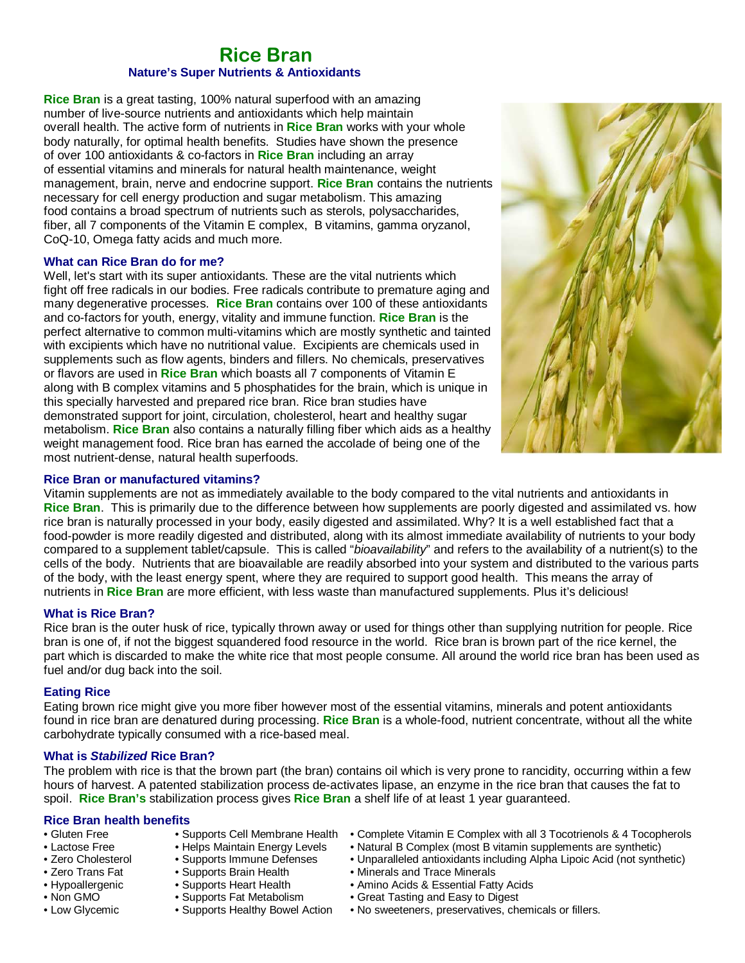### Rice Bran  **Nature's Super Nutrients & Antioxidants**

**Rice Bran** is a great tasting, 100% natural superfood with an amazing number of live-source nutrients and antioxidants which help maintain overall health. The active form of nutrients in **Rice Bran** works with your whole body naturally, for optimal health benefits. Studies have shown the presence of over 100 antioxidants & co-factors in **Rice Bran** including an array of essential vitamins and minerals for natural health maintenance, weight management, brain, nerve and endocrine support. **Rice Bran** contains the nutrients necessary for cell energy production and sugar metabolism. This amazing food contains a broad spectrum of nutrients such as sterols, polysaccharides, fiber, all 7 components of the Vitamin E complex, B vitamins, gamma oryzanol, CoQ-10, Omega fatty acids and much more.

### **What can Rice Bran do for me?**

Well, let's start with its super antioxidants. These are the vital nutrients which fight off free radicals in our bodies. Free radicals contribute to premature aging and many degenerative processes. **Rice Bran** contains over 100 of these antioxidants and co-factors for youth, energy, vitality and immune function. **Rice Bran** is the perfect alternative to common multi-vitamins which are mostly synthetic and tainted with excipients which have no nutritional value. Excipients are chemicals used in supplements such as flow agents, binders and fillers. No chemicals, preservatives or flavors are used in **Rice Bran** which boasts all 7 components of Vitamin E along with B complex vitamins and 5 phosphatides for the brain, which is unique in this specially harvested and prepared rice bran. Rice bran studies have demonstrated support for joint, circulation, cholesterol, heart and healthy sugar metabolism. **Rice Bran** also contains a naturally filling fiber which aids as a healthy weight management food. Rice bran has earned the accolade of being one of the most nutrient-dense, natural health superfoods.



### **Rice Bran or manufactured vitamins?**

Vitamin supplements are not as immediately available to the body compared to the vital nutrients and antioxidants in **Rice Bran**. This is primarily due to the difference between how supplements are poorly digested and assimilated vs. how rice bran is naturally processed in your body, easily digested and assimilated. Why? It is a well established fact that a food-powder is more readily digested and distributed, along with its almost immediate availability of nutrients to your body compared to a supplement tablet/capsule. This is called "bioavailability" and refers to the availability of a nutrient(s) to the cells of the body. Nutrients that are bioavailable are readily absorbed into your system and distributed to the various parts of the body, with the least energy spent, where they are required to support good health. This means the array of nutrients in **Rice Bran** are more efficient, with less waste than manufactured supplements. Plus it's delicious!

### **What is Rice Bran?**

Rice bran is the outer husk of rice, typically thrown away or used for things other than supplying nutrition for people. Rice bran is one of, if not the biggest squandered food resource in the world. Rice bran is brown part of the rice kernel, the part which is discarded to make the white rice that most people consume. All around the world rice bran has been used as fuel and/or dug back into the soil.

### **Eating Rice**

Eating brown rice might give you more fiber however most of the essential vitamins, minerals and potent antioxidants found in rice bran are denatured during processing. **Rice Bran** is a whole-food, nutrient concentrate, without all the white carbohydrate typically consumed with a rice-based meal.

### **What is Stabilized Rice Bran?**

The problem with rice is that the brown part (the bran) contains oil which is very prone to rancidity, occurring within a few hours of harvest. A patented stabilization process de-activates lipase, an enzyme in the rice bran that causes the fat to spoil. **Rice Bran's** stabilization process gives **Rice Bran** a shelf life of at least 1 year guaranteed.

### **Rice Bran health benefits**

- 
- 
- 
- 
- 
- 
- 
- 
- 
- 
- Zero Trans Fat Supports Brain Health Minerals and Trace Minerals
	-
	-
	-
	-
- Gluten Free Supports Cell Membrane Health Complete Vitamin E Complex with all 3 Tocotrienols & 4 Tocopherols
- Lactose Free Helps Maintain Energy Levels Natural B Complex (most B vitamin supplements are synthetic)
- Zero Cholesterol Supports Immune Defenses Unparalleled antioxidants including Alpha Lipoic Acid (not synthetic)
	-
- Hypoallergenic Supports Heart Health Amino Acids & Essential Fatty Acids
- Non GMO • Supports Fat Metabolism Great Tasting and Easy to Digest
- Low Glycemic Supports Healthy Bowel Action No sweeteners, preservatives, chemicals or fillers.